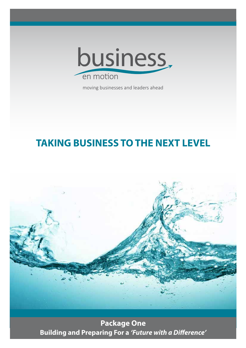

moving businesses and leaders ahead

# **TAKING BUSINESS TO THE NEXT LEVEL**



**Package One Building and Preparing For a 'Future with a Difference'**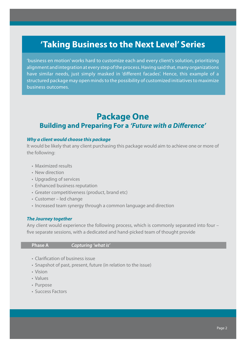## **'Taking Business to the Next Level' Series**

'business en motion' works hard to customize each and every client's solution, prioritizing alignment and integration at every step of the process. Having said that, many organizations have similar needs, just simply masked in 'different facades'. Hence, this example of a structured package may open minds to the possibility of customized initiatives to maximize business outcomes.

## **Package One**

### **Building and Preparing For a 'Future with a Difference'**

#### **Why a client would choose this package**

It would be likely that any client purchasing this package would aim to achieve one or more of the following:

- Maximized results
- New direction
- Upgrading of services
- Enhanced business reputation
- Greater competitiveness (product, brand etc)
- Customer led change
- Increased team synergy through a common language and direction

#### **The Journey together**

Any client would experience the following process, which is commonly separated into four – five separate sessions, with a dedicated and hand-picked team of thought provide

**Phase A Capturing 'what is'**

- Clarification of business issue
- Snapshot of past, present, future (in relation to the issue)
- Vision
- Values
- Purpose
- Success Factors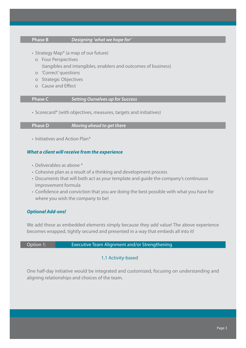#### **Phase B Designing 'what we hope for'**

- Strategy Map\* (a map of our future)
	- o Four Perspectives (tangibles and intangibles, enablers and outcomes of business)
	- o 'Correct' questions
	- o Strategic Objectives
	- o Cause and Effect

#### **Phase C Setting Ourselves up for Success**

• Scorecard\* (with objectives, measures, targets and initiatives)

**Phase D Moving ahead to get there**

• Initiatives and Action Plan\*

#### **What a client will receive from the experience**

- Deliverables as above \*
- Cohesive plan as a result of a thinking and development process
- Documents that will both act as your template and guide the company's continuous improvement formula
- Confidence and conviction that you are doing the best possible with what you have for where you wish the company to be!

### **Optional Add-ons!**

We add these as embedded elements simply because they add value! The above experience becomes wrapped, tightly secured and presented in a way that embeds all into it!

#### Option 1: Executive Team Alignment and/or Strengthening

### 1.1 Activity-based

One half-day initiative would be integrated and customized, focusing on understanding and aligning relationships and choices of the team.